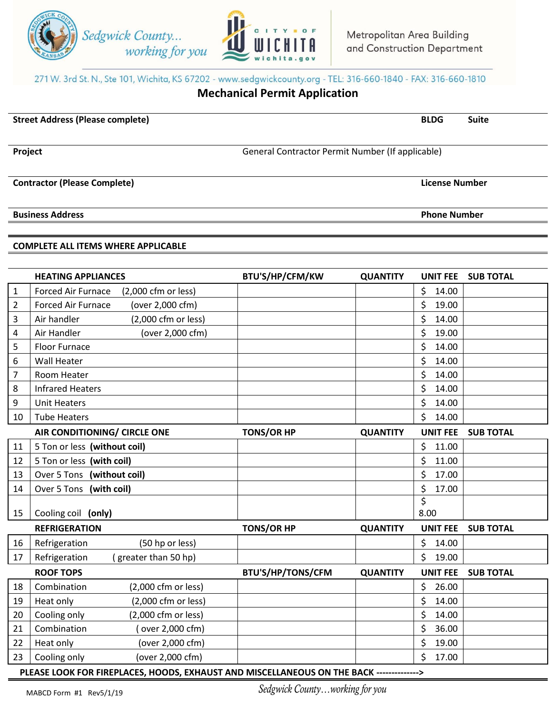## Sedgwick County... working for you



271 W. 3rd St. N., Ste 101, Wichita, KS 67202 - www.sedgwickcounty.org - TEL: 316-660-1840 - FAX: 316-660-1810

## **Mechanical Permit Application**

**Street Address (Please complete) BLDG Suite**

**Project Contractor Permit Number (If applicable)** General Contractor Permit Number (If applicable)

**Contractor (Please Complete) License Number** 

**Business Address Phone Number** 

**COMPLETE ALL ITEMS WHERE APPLICABLE**

|                                                                                          | <b>HEATING APPLIANCES</b>                     | BTU'S/HP/CFM/KW          | <b>QUANTITY</b> | <b>UNIT FEE</b>         | <b>SUB TOTAL</b> |  |  |
|------------------------------------------------------------------------------------------|-----------------------------------------------|--------------------------|-----------------|-------------------------|------------------|--|--|
| $\mathbf{1}$                                                                             | Forced Air Furnace<br>(2,000 cfm or less)     |                          |                 | \$<br>14.00             |                  |  |  |
| $\overline{2}$                                                                           | (over 2,000 cfm)<br><b>Forced Air Furnace</b> |                          |                 | \$<br>19.00             |                  |  |  |
| $\mathbf{3}$                                                                             | (2,000 cfm or less)<br>Air handler            |                          |                 | \$<br>14.00             |                  |  |  |
| 4                                                                                        | Air Handler<br>(over 2,000 cfm)               |                          |                 | \$<br>19.00             |                  |  |  |
| 5                                                                                        | Floor Furnace                                 |                          |                 | \$<br>14.00             |                  |  |  |
| 6                                                                                        | <b>Wall Heater</b>                            |                          |                 | \$<br>14.00             |                  |  |  |
| $\overline{7}$                                                                           | Room Heater                                   |                          |                 | \$<br>14.00             |                  |  |  |
| 8                                                                                        | <b>Infrared Heaters</b>                       |                          |                 | Ś<br>14.00              |                  |  |  |
| 9                                                                                        | <b>Unit Heaters</b>                           |                          |                 | \$<br>14.00             |                  |  |  |
| 10                                                                                       | <b>Tube Heaters</b>                           |                          |                 | \$<br>14.00             |                  |  |  |
|                                                                                          | AIR CONDITIONING/ CIRCLE ONE                  | <b>TONS/OR HP</b>        | <b>QUANTITY</b> | <b>UNIT FEE</b>         | <b>SUB TOTAL</b> |  |  |
| 11                                                                                       | 5 Ton or less (without coil)                  |                          |                 | \$<br>11.00             |                  |  |  |
| 12                                                                                       | 5 Ton or less (with coil)                     |                          |                 | \$<br>11.00             |                  |  |  |
| 13                                                                                       | Over 5 Tons (without coil)                    |                          |                 | \$<br>17.00             |                  |  |  |
| 14                                                                                       | Over 5 Tons (with coil)                       |                          |                 | \$<br>17.00             |                  |  |  |
|                                                                                          |                                               |                          |                 | $\overline{\mathsf{s}}$ |                  |  |  |
| 15                                                                                       | Cooling coil (only)                           |                          |                 | 8.00                    |                  |  |  |
|                                                                                          | <b>REFRIGERATION</b>                          | <b>TONS/OR HP</b>        | <b>QUANTITY</b> | <b>UNIT FEE</b>         | <b>SUB TOTAL</b> |  |  |
| 16                                                                                       | Refrigeration<br>(50 hp or less)              |                          |                 | \$<br>14.00             |                  |  |  |
| 17                                                                                       | (greater than 50 hp)<br>Refrigeration         |                          |                 | \$<br>19.00             |                  |  |  |
|                                                                                          | <b>ROOF TOPS</b>                              | <b>BTU'S/HP/TONS/CFM</b> | <b>QUANTITY</b> | <b>UNIT FEE</b>         | <b>SUB TOTAL</b> |  |  |
| 18                                                                                       | Combination<br>(2,000 cfm or less)            |                          |                 | \$<br>26.00             |                  |  |  |
| 19                                                                                       | (2,000 cfm or less)<br>Heat only              |                          |                 | \$<br>14.00             |                  |  |  |
| 20                                                                                       | Cooling only<br>(2,000 cfm or less)           |                          |                 | \$<br>14.00             |                  |  |  |
| 21                                                                                       | Combination<br>over 2,000 cfm)                |                          |                 | \$<br>36.00             |                  |  |  |
| 22                                                                                       | (over 2,000 cfm)<br>Heat only                 |                          |                 | \$<br>19.00             |                  |  |  |
| 23                                                                                       | (over 2,000 cfm)<br>Cooling only              |                          |                 | Ś<br>17.00              |                  |  |  |
| PLEASE LOOK FOR FIREPLACES, HOODS, EXHAUST AND MISCELLANEOUS ON THE BACK --------------> |                                               |                          |                 |                         |                  |  |  |

MABCD Form #1 Rev5/1/19 Sedgwick County...working for you